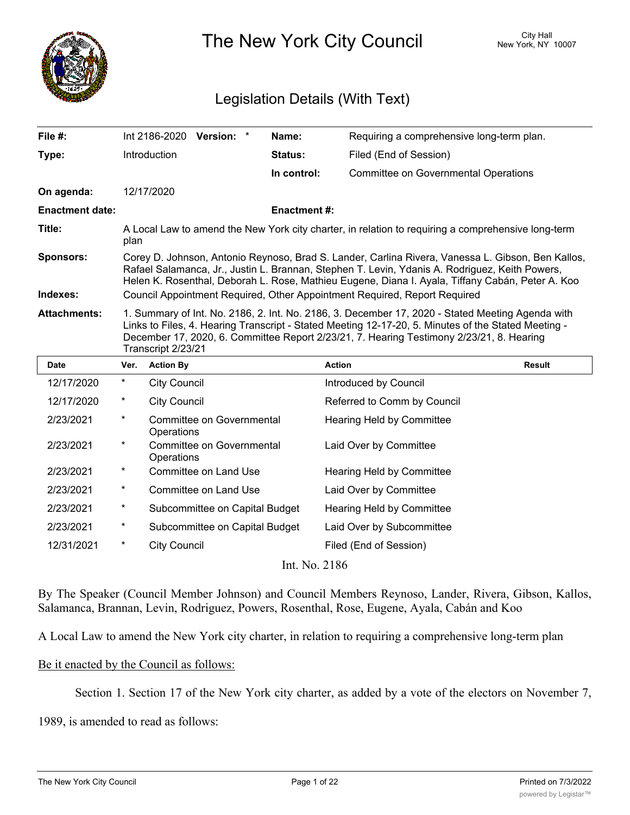

The New York City Council New York, NY 10007

# Legislation Details (With Text)

| File #:                      |                                                                                                                                                                                                                                                                                                                                                                                      | Int 2186-2020 Version: *                       |                                |  | Name:                     | Requiring a comprehensive long-term plan.   |               |
|------------------------------|--------------------------------------------------------------------------------------------------------------------------------------------------------------------------------------------------------------------------------------------------------------------------------------------------------------------------------------------------------------------------------------|------------------------------------------------|--------------------------------|--|---------------------------|---------------------------------------------|---------------|
| Type:                        |                                                                                                                                                                                                                                                                                                                                                                                      | Introduction                                   |                                |  | <b>Status:</b>            | Filed (End of Session)                      |               |
|                              |                                                                                                                                                                                                                                                                                                                                                                                      |                                                |                                |  | In control:               | <b>Committee on Governmental Operations</b> |               |
| On agenda:                   |                                                                                                                                                                                                                                                                                                                                                                                      | 12/17/2020                                     |                                |  |                           |                                             |               |
| <b>Enactment date:</b>       |                                                                                                                                                                                                                                                                                                                                                                                      |                                                |                                |  | <b>Enactment #:</b>       |                                             |               |
| Title:                       | A Local Law to amend the New York city charter, in relation to requiring a comprehensive long-term<br>plan                                                                                                                                                                                                                                                                           |                                                |                                |  |                           |                                             |               |
| <b>Sponsors:</b><br>Indexes: | Corey D. Johnson, Antonio Reynoso, Brad S. Lander, Carlina Rivera, Vanessa L. Gibson, Ben Kallos,<br>Rafael Salamanca, Jr., Justin L. Brannan, Stephen T. Levin, Ydanis A. Rodriguez, Keith Powers,<br>Helen K. Rosenthal, Deborah L. Rose, Mathieu Eugene, Diana I. Ayala, Tiffany Cabán, Peter A. Koo<br>Council Appointment Required, Other Appointment Required, Report Required |                                                |                                |  |                           |                                             |               |
| <b>Attachments:</b>          | 1. Summary of Int. No. 2186, 2. Int. No. 2186, 3. December 17, 2020 - Stated Meeting Agenda with<br>Links to Files, 4. Hearing Transcript - Stated Meeting 12-17-20, 5. Minutes of the Stated Meeting -<br>December 17, 2020, 6. Committee Report 2/23/21, 7. Hearing Testimony 2/23/21, 8. Hearing<br>Transcript 2/23/21                                                            |                                                |                                |  |                           |                                             |               |
| <b>Date</b>                  | Ver.                                                                                                                                                                                                                                                                                                                                                                                 | <b>Action By</b>                               |                                |  |                           | <b>Action</b>                               | <b>Result</b> |
| 12/17/2020                   | $\star$                                                                                                                                                                                                                                                                                                                                                                              | <b>City Council</b>                            |                                |  |                           | Introduced by Council                       |               |
| 12/17/2020                   | *                                                                                                                                                                                                                                                                                                                                                                                    | <b>City Council</b>                            |                                |  |                           | Referred to Comm by Council                 |               |
| 2/23/2021                    | *                                                                                                                                                                                                                                                                                                                                                                                    | Committee on Governmental<br>Operations        |                                |  |                           | Hearing Held by Committee                   |               |
| 2/23/2021                    | *                                                                                                                                                                                                                                                                                                                                                                                    | <b>Committee on Governmental</b><br>Operations |                                |  |                           | Laid Over by Committee                      |               |
| 2/23/2021                    | $^\star$                                                                                                                                                                                                                                                                                                                                                                             | Committee on Land Use                          |                                |  |                           | Hearing Held by Committee                   |               |
| 2/23/2021                    | *                                                                                                                                                                                                                                                                                                                                                                                    | Committee on Land Use                          |                                |  |                           | Laid Over by Committee                      |               |
| 2/23/2021                    | *                                                                                                                                                                                                                                                                                                                                                                                    | Subcommittee on Capital Budget                 |                                |  | Hearing Held by Committee |                                             |               |
| 2/23/2021                    | *                                                                                                                                                                                                                                                                                                                                                                                    |                                                | Subcommittee on Capital Budget |  |                           | Laid Over by Subcommittee                   |               |
| 12/31/2021                   | $^\star$                                                                                                                                                                                                                                                                                                                                                                             | <b>City Council</b>                            |                                |  |                           | Filed (End of Session)                      |               |
|                              |                                                                                                                                                                                                                                                                                                                                                                                      |                                                |                                |  | Int. No. 2186             |                                             |               |

By The Speaker (Council Member Johnson) and Council Members Reynoso, Lander, Rivera, Gibson, Kallos, Salamanca, Brannan, Levin, Rodriguez, Powers, Rosenthal, Rose, Eugene, Ayala, Cabán and Koo

A Local Law to amend the New York city charter, in relation to requiring a comprehensive long-term plan

## Be it enacted by the Council as follows:

Section 1. Section 17 of the New York city charter, as added by a vote of the electors on November 7,

1989, is amended to read as follows: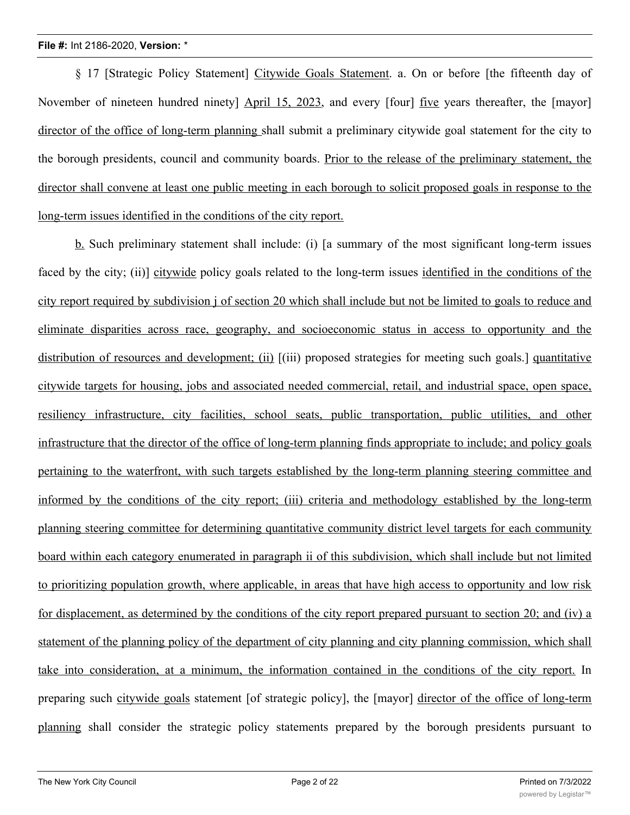§ 17 [Strategic Policy Statement] Citywide Goals Statement. a. On or before [the fifteenth day of November of nineteen hundred ninety] April 15, 2023, and every [four] five years thereafter, the [mayor] director of the office of long-term planning shall submit a preliminary citywide goal statement for the city to the borough presidents, council and community boards. Prior to the release of the preliminary statement, the director shall convene at least one public meeting in each borough to solicit proposed goals in response to the long-term issues identified in the conditions of the city report.

b. Such preliminary statement shall include: (i) [a summary of the most significant long-term issues faced by the city; (ii)] citywide policy goals related to the long-term issues identified in the conditions of the city report required by subdivision j of section 20 which shall include but not be limited to goals to reduce and eliminate disparities across race, geography, and socioeconomic status in access to opportunity and the distribution of resources and development; (ii)  $[(iii)$  proposed strategies for meeting such goals.] quantitative citywide targets for housing, jobs and associated needed commercial, retail, and industrial space, open space, resiliency infrastructure, city facilities, school seats, public transportation, public utilities, and other infrastructure that the director of the office of long-term planning finds appropriate to include; and policy goals pertaining to the waterfront, with such targets established by the long-term planning steering committee and informed by the conditions of the city report; (iii) criteria and methodology established by the long-term planning steering committee for determining quantitative community district level targets for each community board within each category enumerated in paragraph ii of this subdivision, which shall include but not limited to prioritizing population growth, where applicable, in areas that have high access to opportunity and low risk for displacement, as determined by the conditions of the city report prepared pursuant to section 20; and (iv) a statement of the planning policy of the department of city planning and city planning commission, which shall take into consideration, at a minimum, the information contained in the conditions of the city report. In preparing such citywide goals statement [of strategic policy], the [mayor] director of the office of long-term planning shall consider the strategic policy statements prepared by the borough presidents pursuant to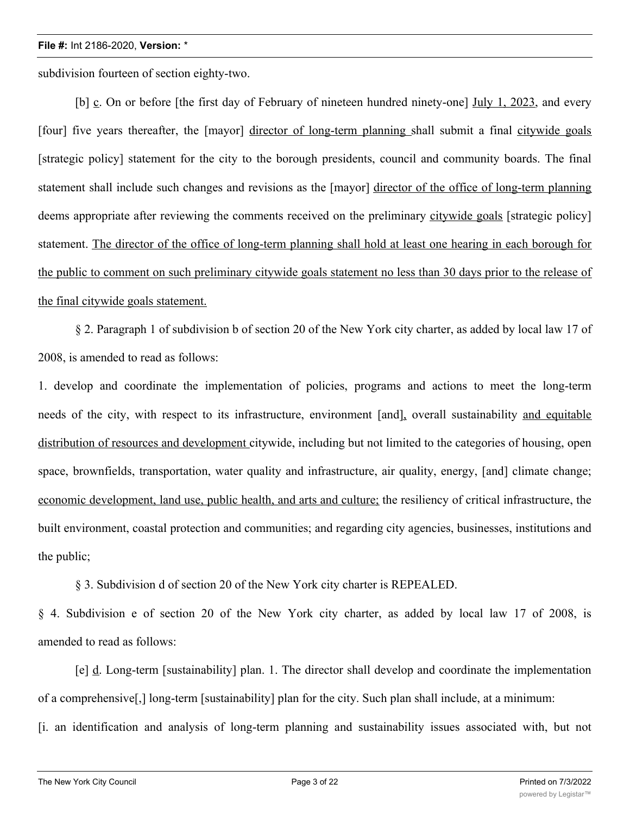subdivision fourteen of section eighty-two.

[b] c. On or before [the first day of February of nineteen hundred ninety-one] July 1, 2023, and every [four] five years thereafter, the [mayor] director of long-term planning shall submit a final citywide goals [strategic policy] statement for the city to the borough presidents, council and community boards. The final statement shall include such changes and revisions as the [mayor] director of the office of long-term planning deems appropriate after reviewing the comments received on the preliminary citywide goals [strategic policy] statement. The director of the office of long-term planning shall hold at least one hearing in each borough for the public to comment on such preliminary citywide goals statement no less than 30 days prior to the release of the final citywide goals statement.

§ 2. Paragraph 1 of subdivision b of section 20 of the New York city charter, as added by local law 17 of 2008, is amended to read as follows:

1. develop and coordinate the implementation of policies, programs and actions to meet the long-term needs of the city, with respect to its infrastructure, environment [and], overall sustainability and equitable distribution of resources and development citywide, including but not limited to the categories of housing, open space, brownfields, transportation, water quality and infrastructure, air quality, energy, [and] climate change; economic development, land use, public health, and arts and culture; the resiliency of critical infrastructure, the built environment, coastal protection and communities; and regarding city agencies, businesses, institutions and the public;

§ 3. Subdivision d of section 20 of the New York city charter is REPEALED.

§ 4. Subdivision e of section 20 of the New York city charter, as added by local law 17 of 2008, is amended to read as follows:

[e] d. Long-term [sustainability] plan. 1. The director shall develop and coordinate the implementation of a comprehensive[,] long-term [sustainability] plan for the city. Such plan shall include, at a minimum: [i. an identification and analysis of long-term planning and sustainability issues associated with, but not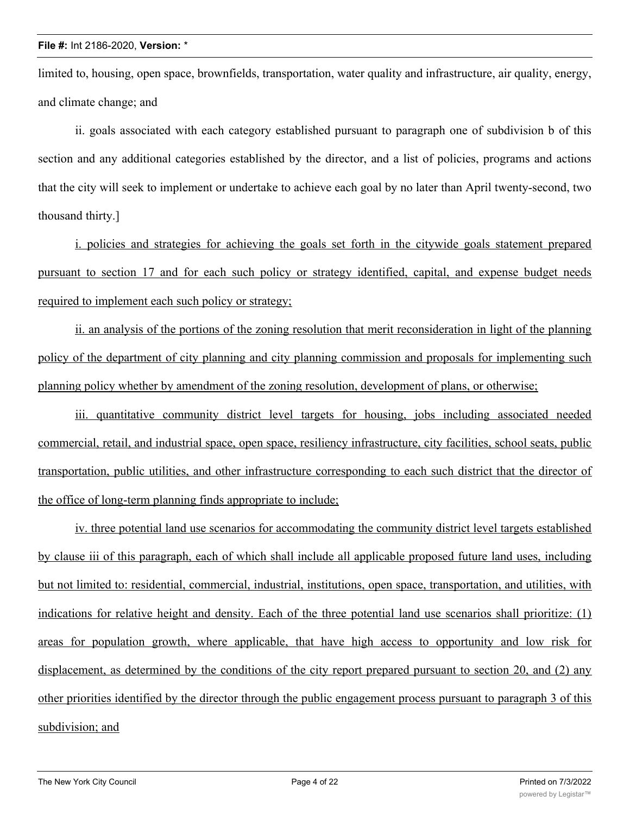limited to, housing, open space, brownfields, transportation, water quality and infrastructure, air quality, energy, and climate change; and

ii. goals associated with each category established pursuant to paragraph one of subdivision b of this section and any additional categories established by the director, and a list of policies, programs and actions that the city will seek to implement or undertake to achieve each goal by no later than April twenty-second, two thousand thirty.]

i. policies and strategies for achieving the goals set forth in the citywide goals statement prepared pursuant to section 17 and for each such policy or strategy identified, capital, and expense budget needs required to implement each such policy or strategy;

ii. an analysis of the portions of the zoning resolution that merit reconsideration in light of the planning policy of the department of city planning and city planning commission and proposals for implementing such planning policy whether by amendment of the zoning resolution, development of plans, or otherwise;

iii. quantitative community district level targets for housing, jobs including associated needed commercial, retail, and industrial space, open space, resiliency infrastructure, city facilities, school seats, public transportation, public utilities, and other infrastructure corresponding to each such district that the director of the office of long-term planning finds appropriate to include;

iv. three potential land use scenarios for accommodating the community district level targets established by clause iii of this paragraph, each of which shall include all applicable proposed future land uses, including but not limited to: residential, commercial, industrial, institutions, open space, transportation, and utilities, with indications for relative height and density. Each of the three potential land use scenarios shall prioritize: (1) areas for population growth, where applicable, that have high access to opportunity and low risk for displacement, as determined by the conditions of the city report prepared pursuant to section 20, and (2) any other priorities identified by the director through the public engagement process pursuant to paragraph 3 of this subdivision; and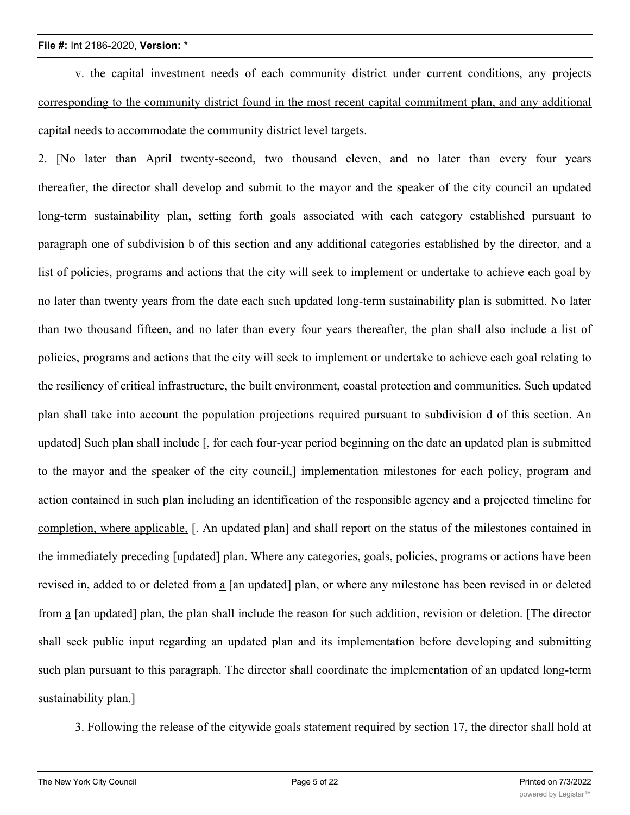v. the capital investment needs of each community district under current conditions, any projects corresponding to the community district found in the most recent capital commitment plan, and any additional capital needs to accommodate the community district level targets.

2. [No later than April twenty-second, two thousand eleven, and no later than every four years thereafter, the director shall develop and submit to the mayor and the speaker of the city council an updated long-term sustainability plan, setting forth goals associated with each category established pursuant to paragraph one of subdivision b of this section and any additional categories established by the director, and a list of policies, programs and actions that the city will seek to implement or undertake to achieve each goal by no later than twenty years from the date each such updated long-term sustainability plan is submitted. No later than two thousand fifteen, and no later than every four years thereafter, the plan shall also include a list of policies, programs and actions that the city will seek to implement or undertake to achieve each goal relating to the resiliency of critical infrastructure, the built environment, coastal protection and communities. Such updated plan shall take into account the population projections required pursuant to subdivision d of this section. An updated] Such plan shall include [, for each four-year period beginning on the date an updated plan is submitted to the mayor and the speaker of the city council,] implementation milestones for each policy, program and action contained in such plan including an identification of the responsible agency and a projected timeline for completion, where applicable, [. An updated plan] and shall report on the status of the milestones contained in the immediately preceding [updated] plan. Where any categories, goals, policies, programs or actions have been revised in, added to or deleted from a [an updated] plan, or where any milestone has been revised in or deleted from a [an updated] plan, the plan shall include the reason for such addition, revision or deletion. [The director shall seek public input regarding an updated plan and its implementation before developing and submitting such plan pursuant to this paragraph. The director shall coordinate the implementation of an updated long-term sustainability plan.]

3. Following the release of the citywide goals statement required by section 17, the director shall hold at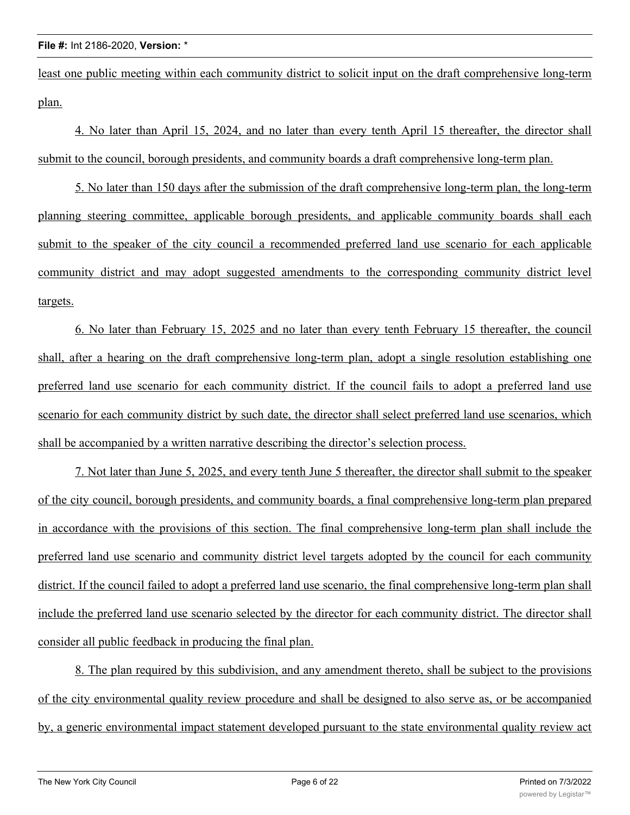least one public meeting within each community district to solicit input on the draft comprehensive long-term plan.

4. No later than April 15, 2024, and no later than every tenth April 15 thereafter, the director shall submit to the council, borough presidents, and community boards a draft comprehensive long-term plan.

5. No later than 150 days after the submission of the draft comprehensive long-term plan, the long-term planning steering committee, applicable borough presidents, and applicable community boards shall each submit to the speaker of the city council a recommended preferred land use scenario for each applicable community district and may adopt suggested amendments to the corresponding community district level targets.

6. No later than February 15, 2025 and no later than every tenth February 15 thereafter, the council shall, after a hearing on the draft comprehensive long-term plan, adopt a single resolution establishing one preferred land use scenario for each community district. If the council fails to adopt a preferred land use scenario for each community district by such date, the director shall select preferred land use scenarios, which shall be accompanied by a written narrative describing the director's selection process.

7. Not later than June 5, 2025, and every tenth June 5 thereafter, the director shall submit to the speaker of the city council, borough presidents, and community boards, a final comprehensive long-term plan prepared in accordance with the provisions of this section. The final comprehensive long-term plan shall include the preferred land use scenario and community district level targets adopted by the council for each community district. If the council failed to adopt a preferred land use scenario, the final comprehensive long-term plan shall include the preferred land use scenario selected by the director for each community district. The director shall consider all public feedback in producing the final plan.

8. The plan required by this subdivision, and any amendment thereto, shall be subject to the provisions of the city environmental quality review procedure and shall be designed to also serve as, or be accompanied by, a generic environmental impact statement developed pursuant to the state environmental quality review act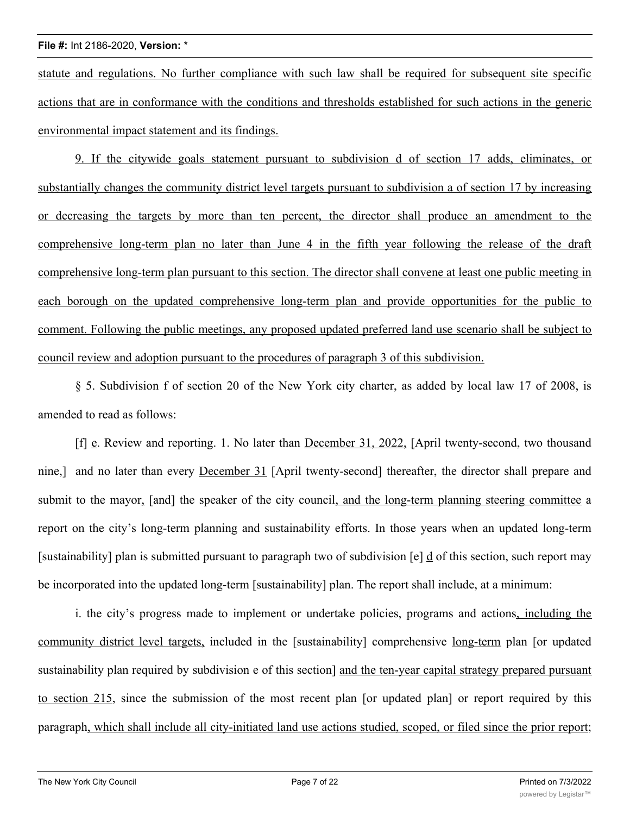statute and regulations. No further compliance with such law shall be required for subsequent site specific actions that are in conformance with the conditions and thresholds established for such actions in the generic environmental impact statement and its findings.

9. If the citywide goals statement pursuant to subdivision d of section 17 adds, eliminates, or substantially changes the community district level targets pursuant to subdivision a of section 17 by increasing or decreasing the targets by more than ten percent, the director shall produce an amendment to the comprehensive long-term plan no later than June 4 in the fifth year following the release of the draft comprehensive long-term plan pursuant to this section. The director shall convene at least one public meeting in each borough on the updated comprehensive long-term plan and provide opportunities for the public to comment. Following the public meetings, any proposed updated preferred land use scenario shall be subject to council review and adoption pursuant to the procedures of paragraph 3 of this subdivision.

§ 5. Subdivision f of section 20 of the New York city charter, as added by local law 17 of 2008, is amended to read as follows:

[f] e. Review and reporting. 1. No later than December 31, 2022, [April twenty-second, two thousand nine,] and no later than every December 31 [April twenty-second] thereafter, the director shall prepare and submit to the mayor, [and] the speaker of the city council, and the long-term planning steering committee a report on the city's long-term planning and sustainability efforts. In those years when an updated long-term [sustainability] plan is submitted pursuant to paragraph two of subdivision [e] d of this section, such report may be incorporated into the updated long-term [sustainability] plan. The report shall include, at a minimum:

i. the city's progress made to implement or undertake policies, programs and actions, including the community district level targets, included in the [sustainability] comprehensive long-term plan [or updated sustainability plan required by subdivision e of this section] and the ten-year capital strategy prepared pursuant to section 215, since the submission of the most recent plan [or updated plan] or report required by this paragraph, which shall include all city-initiated land use actions studied, scoped, or filed since the prior report;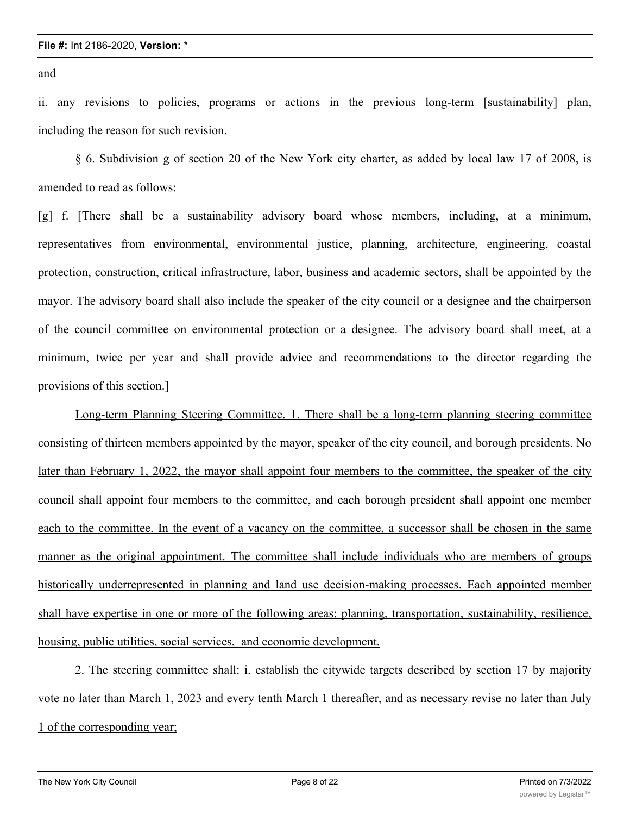and

ii. any revisions to policies, programs or actions in the previous long-term [sustainability] plan, including the reason for such revision.

§ 6. Subdivision g of section 20 of the New York city charter, as added by local law 17 of 2008, is amended to read as follows:

[g] f. [There shall be a sustainability advisory board whose members, including, at a minimum, representatives from environmental, environmental justice, planning, architecture, engineering, coastal protection, construction, critical infrastructure, labor, business and academic sectors, shall be appointed by the mayor. The advisory board shall also include the speaker of the city council or a designee and the chairperson of the council committee on environmental protection or a designee. The advisory board shall meet, at a minimum, twice per year and shall provide advice and recommendations to the director regarding the provisions of this section.]

Long-term Planning Steering Committee. 1. There shall be a long-term planning steering committee consisting of thirteen members appointed by the mayor, speaker of the city council, and borough presidents. No later than February 1, 2022, the mayor shall appoint four members to the committee, the speaker of the city council shall appoint four members to the committee, and each borough president shall appoint one member each to the committee. In the event of a vacancy on the committee, a successor shall be chosen in the same manner as the original appointment. The committee shall include individuals who are members of groups historically underrepresented in planning and land use decision-making processes. Each appointed member shall have expertise in one or more of the following areas: planning, transportation, sustainability, resilience, housing, public utilities, social services, and economic development.

2. The steering committee shall: i. establish the citywide targets described by section 17 by majority vote no later than March 1, 2023 and every tenth March 1 thereafter, and as necessary revise no later than July 1 of the corresponding year;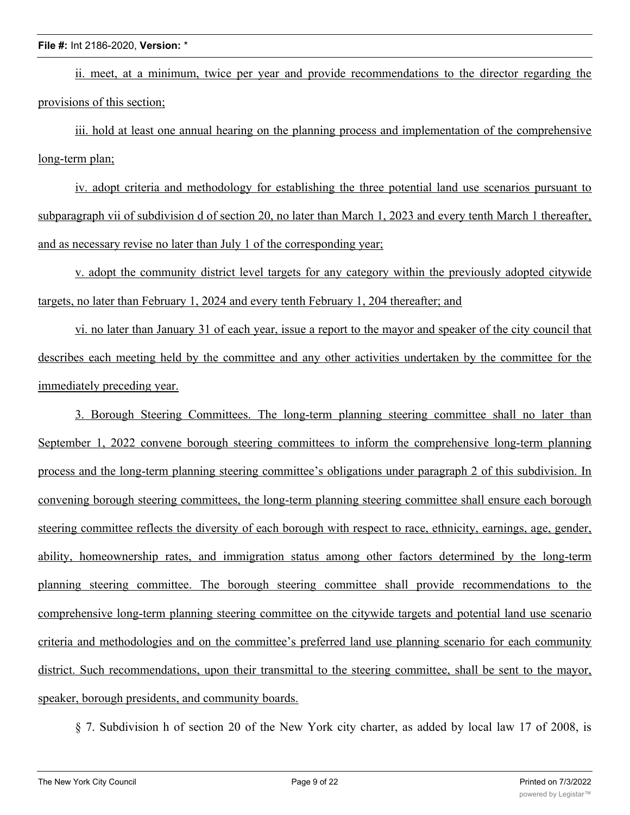ii. meet, at a minimum, twice per year and provide recommendations to the director regarding the provisions of this section;

iii. hold at least one annual hearing on the planning process and implementation of the comprehensive long-term plan;

iv. adopt criteria and methodology for establishing the three potential land use scenarios pursuant to subparagraph vii of subdivision d of section 20, no later than March 1, 2023 and every tenth March 1 thereafter, and as necessary revise no later than July 1 of the corresponding year;

v. adopt the community district level targets for any category within the previously adopted citywide targets, no later than February 1, 2024 and every tenth February 1, 204 thereafter; and

vi. no later than January 31 of each year, issue a report to the mayor and speaker of the city council that describes each meeting held by the committee and any other activities undertaken by the committee for the immediately preceding year.

3. Borough Steering Committees. The long-term planning steering committee shall no later than September 1, 2022 convene borough steering committees to inform the comprehensive long-term planning process and the long-term planning steering committee's obligations under paragraph 2 of this subdivision. In convening borough steering committees, the long-term planning steering committee shall ensure each borough steering committee reflects the diversity of each borough with respect to race, ethnicity, earnings, age, gender, ability, homeownership rates, and immigration status among other factors determined by the long-term planning steering committee. The borough steering committee shall provide recommendations to the comprehensive long-term planning steering committee on the citywide targets and potential land use scenario criteria and methodologies and on the committee's preferred land use planning scenario for each community district. Such recommendations, upon their transmittal to the steering committee, shall be sent to the mayor, speaker, borough presidents, and community boards.

§ 7. Subdivision h of section 20 of the New York city charter, as added by local law 17 of 2008, is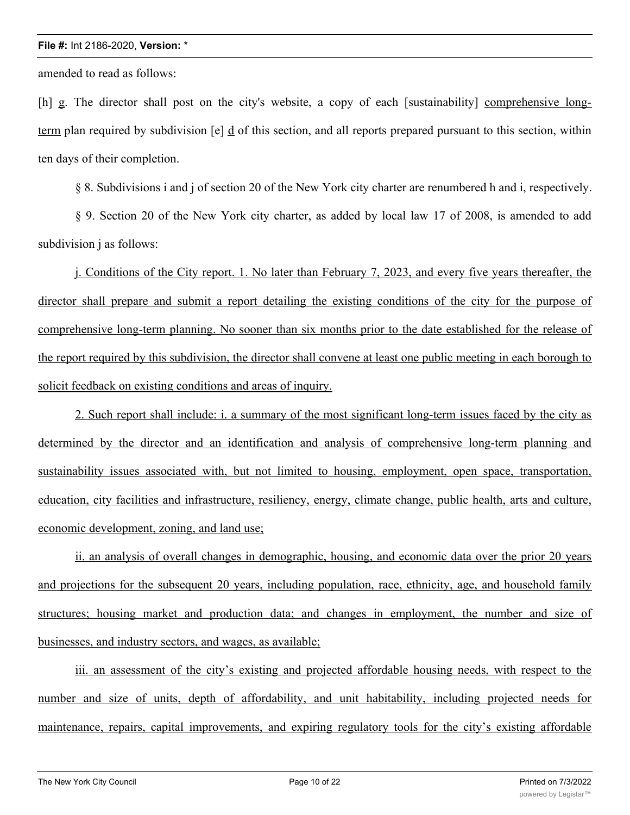amended to read as follows:

[h] g. The director shall post on the city's website, a copy of each [sustainability] comprehensive longterm plan required by subdivision  $[e]$  d of this section, and all reports prepared pursuant to this section, within ten days of their completion.

§ 8. Subdivisions i and j of section 20 of the New York city charter are renumbered h and i, respectively.

§ 9. Section 20 of the New York city charter, as added by local law 17 of 2008, is amended to add subdivision *i* as follows:

j. Conditions of the City report. 1. No later than February 7, 2023, and every five years thereafter, the director shall prepare and submit a report detailing the existing conditions of the city for the purpose of comprehensive long-term planning. No sooner than six months prior to the date established for the release of the report required by this subdivision, the director shall convene at least one public meeting in each borough to solicit feedback on existing conditions and areas of inquiry.

2. Such report shall include: i. a summary of the most significant long-term issues faced by the city as determined by the director and an identification and analysis of comprehensive long-term planning and sustainability issues associated with, but not limited to housing, employment, open space, transportation, education, city facilities and infrastructure, resiliency, energy, climate change, public health, arts and culture, economic development, zoning, and land use;

ii. an analysis of overall changes in demographic, housing, and economic data over the prior 20 years and projections for the subsequent 20 years, including population, race, ethnicity, age, and household family structures; housing market and production data; and changes in employment, the number and size of businesses, and industry sectors, and wages, as available;

iii. an assessment of the city's existing and projected affordable housing needs, with respect to the number and size of units, depth of affordability, and unit habitability, including projected needs for maintenance, repairs, capital improvements, and expiring regulatory tools for the city's existing affordable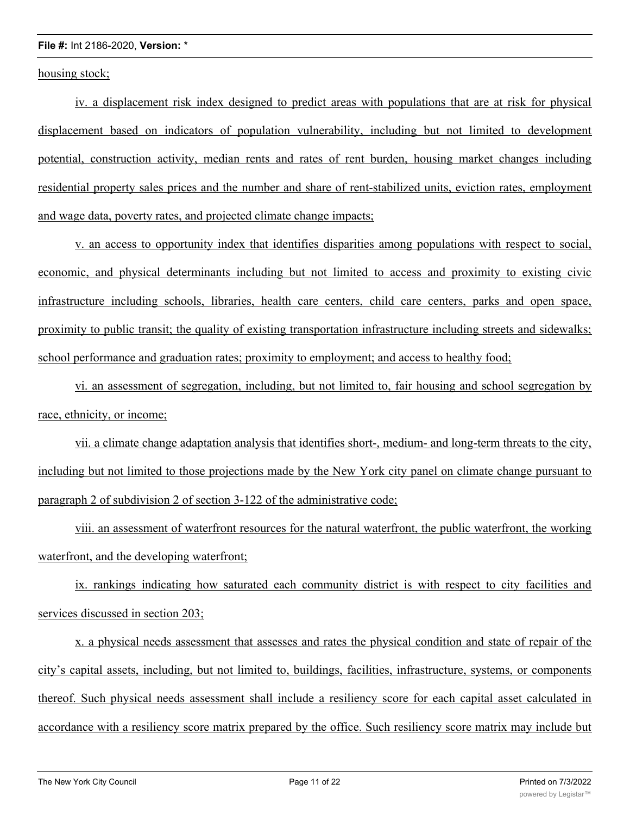housing stock;

iv. a displacement risk index designed to predict areas with populations that are at risk for physical displacement based on indicators of population vulnerability, including but not limited to development potential, construction activity, median rents and rates of rent burden, housing market changes including residential property sales prices and the number and share of rent-stabilized units, eviction rates, employment and wage data, poverty rates, and projected climate change impacts;

v. an access to opportunity index that identifies disparities among populations with respect to social, economic, and physical determinants including but not limited to access and proximity to existing civic infrastructure including schools, libraries, health care centers, child care centers, parks and open space, proximity to public transit; the quality of existing transportation infrastructure including streets and sidewalks; school performance and graduation rates; proximity to employment; and access to healthy food;

vi. an assessment of segregation, including, but not limited to, fair housing and school segregation by race, ethnicity, or income;

vii. a climate change adaptation analysis that identifies short-, medium- and long-term threats to the city, including but not limited to those projections made by the New York city panel on climate change pursuant to paragraph 2 of subdivision 2 of section 3-122 of the administrative code;

viii. an assessment of waterfront resources for the natural waterfront, the public waterfront, the working waterfront, and the developing waterfront;

ix. rankings indicating how saturated each community district is with respect to city facilities and services discussed in section 203;

x. a physical needs assessment that assesses and rates the physical condition and state of repair of the city's capital assets, including, but not limited to, buildings, facilities, infrastructure, systems, or components thereof. Such physical needs assessment shall include a resiliency score for each capital asset calculated in accordance with a resiliency score matrix prepared by the office. Such resiliency score matrix may include but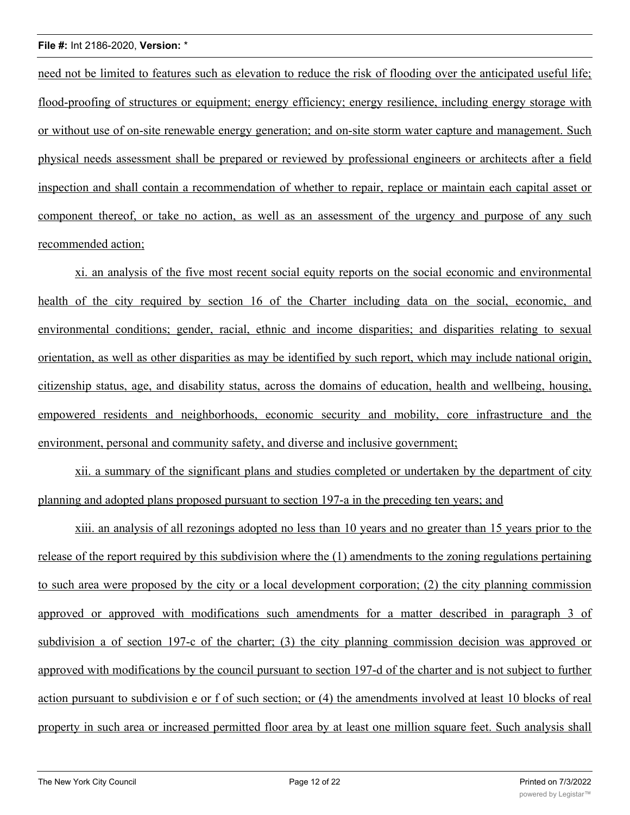need not be limited to features such as elevation to reduce the risk of flooding over the anticipated useful life; flood-proofing of structures or equipment; energy efficiency; energy resilience, including energy storage with or without use of on-site renewable energy generation; and on-site storm water capture and management. Such physical needs assessment shall be prepared or reviewed by professional engineers or architects after a field inspection and shall contain a recommendation of whether to repair, replace or maintain each capital asset or component thereof, or take no action, as well as an assessment of the urgency and purpose of any such recommended action;

xi. an analysis of the five most recent social equity reports on the social economic and environmental health of the city required by section 16 of the Charter including data on the social, economic, and environmental conditions; gender, racial, ethnic and income disparities; and disparities relating to sexual orientation, as well as other disparities as may be identified by such report, which may include national origin, citizenship status, age, and disability status, across the domains of education, health and wellbeing, housing, empowered residents and neighborhoods, economic security and mobility, core infrastructure and the environment, personal and community safety, and diverse and inclusive government;

xii. a summary of the significant plans and studies completed or undertaken by the department of city planning and adopted plans proposed pursuant to section 197-a in the preceding ten years; and

xiii. an analysis of all rezonings adopted no less than 10 years and no greater than 15 years prior to the release of the report required by this subdivision where the (1) amendments to the zoning regulations pertaining to such area were proposed by the city or a local development corporation; (2) the city planning commission approved or approved with modifications such amendments for a matter described in paragraph 3 of subdivision a of section 197-c of the charter; (3) the city planning commission decision was approved or approved with modifications by the council pursuant to section 197-d of the charter and is not subject to further action pursuant to subdivision e or f of such section; or (4) the amendments involved at least 10 blocks of real property in such area or increased permitted floor area by at least one million square feet. Such analysis shall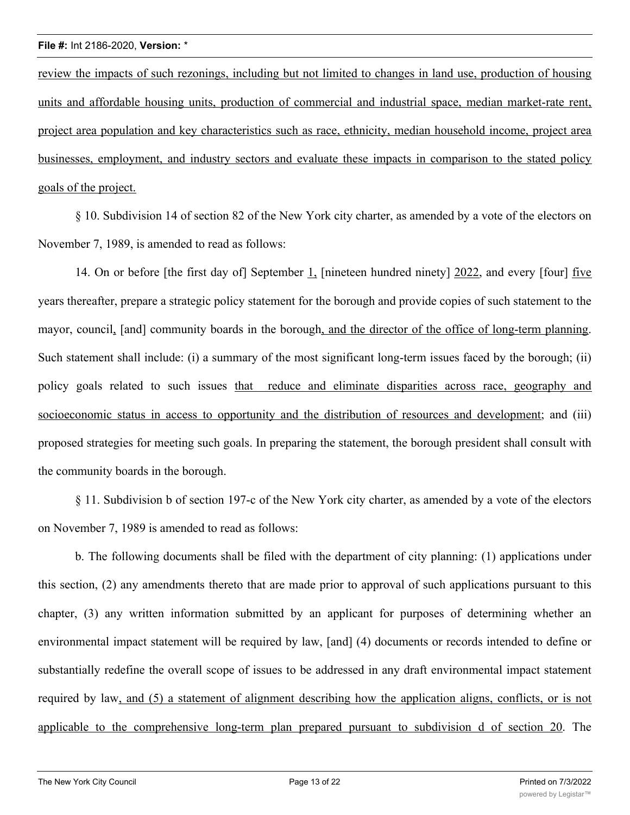review the impacts of such rezonings, including but not limited to changes in land use, production of housing units and affordable housing units, production of commercial and industrial space, median market-rate rent, project area population and key characteristics such as race, ethnicity, median household income, project area businesses, employment, and industry sectors and evaluate these impacts in comparison to the stated policy goals of the project.

§ 10. Subdivision 14 of section 82 of the New York city charter, as amended by a vote of the electors on November 7, 1989, is amended to read as follows:

14. On or before [the first day of] September 1, [nineteen hundred ninety] 2022, and every [four] five years thereafter, prepare a strategic policy statement for the borough and provide copies of such statement to the mayor, council, [and] community boards in the borough, and the director of the office of long-term planning. Such statement shall include: (i) a summary of the most significant long-term issues faced by the borough; (ii) policy goals related to such issues that reduce and eliminate disparities across race, geography and socioeconomic status in access to opportunity and the distribution of resources and development; and (iii) proposed strategies for meeting such goals. In preparing the statement, the borough president shall consult with the community boards in the borough.

§ 11. Subdivision b of section 197-c of the New York city charter, as amended by a vote of the electors on November 7, 1989 is amended to read as follows:

b. The following documents shall be filed with the department of city planning: (1) applications under this section, (2) any amendments thereto that are made prior to approval of such applications pursuant to this chapter, (3) any written information submitted by an applicant for purposes of determining whether an environmental impact statement will be required by law, [and] (4) documents or records intended to define or substantially redefine the overall scope of issues to be addressed in any draft environmental impact statement required by law, and (5) a statement of alignment describing how the application aligns, conflicts, or is not applicable to the comprehensive long-term plan prepared pursuant to subdivision d of section 20. The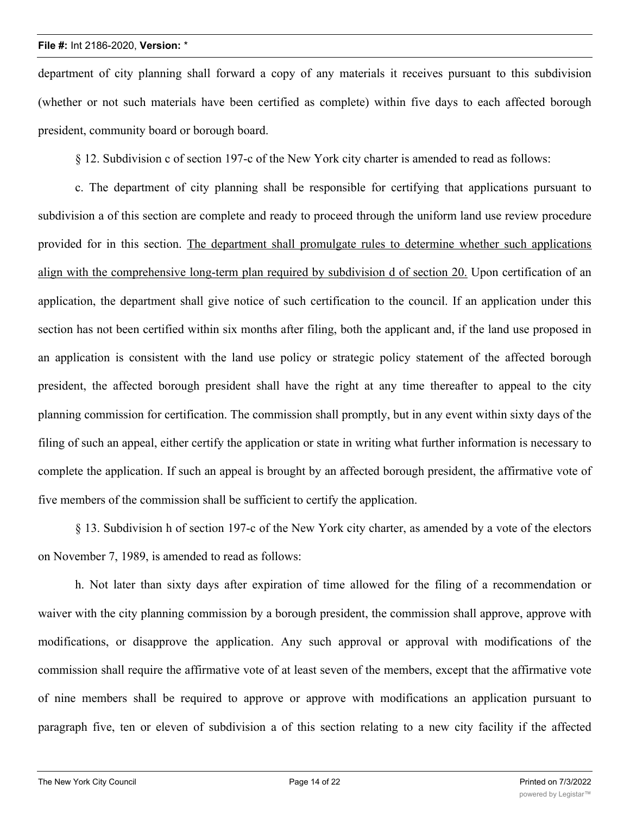department of city planning shall forward a copy of any materials it receives pursuant to this subdivision (whether or not such materials have been certified as complete) within five days to each affected borough president, community board or borough board.

§ 12. Subdivision c of section 197-c of the New York city charter is amended to read as follows:

c. The department of city planning shall be responsible for certifying that applications pursuant to subdivision a of this section are complete and ready to proceed through the uniform land use review procedure provided for in this section. The department shall promulgate rules to determine whether such applications align with the comprehensive long-term plan required by subdivision d of section 20. Upon certification of an application, the department shall give notice of such certification to the council. If an application under this section has not been certified within six months after filing, both the applicant and, if the land use proposed in an application is consistent with the land use policy or strategic policy statement of the affected borough president, the affected borough president shall have the right at any time thereafter to appeal to the city planning commission for certification. The commission shall promptly, but in any event within sixty days of the filing of such an appeal, either certify the application or state in writing what further information is necessary to complete the application. If such an appeal is brought by an affected borough president, the affirmative vote of five members of the commission shall be sufficient to certify the application.

§ 13. Subdivision h of section 197-c of the New York city charter, as amended by a vote of the electors on November 7, 1989, is amended to read as follows:

h. Not later than sixty days after expiration of time allowed for the filing of a recommendation or waiver with the city planning commission by a borough president, the commission shall approve, approve with modifications, or disapprove the application. Any such approval or approval with modifications of the commission shall require the affirmative vote of at least seven of the members, except that the affirmative vote of nine members shall be required to approve or approve with modifications an application pursuant to paragraph five, ten or eleven of subdivision a of this section relating to a new city facility if the affected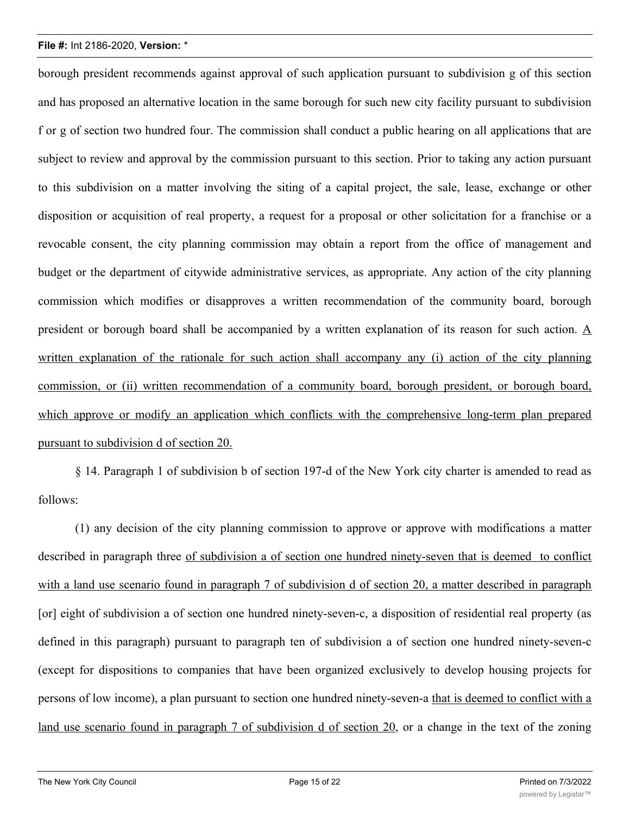borough president recommends against approval of such application pursuant to subdivision g of this section and has proposed an alternative location in the same borough for such new city facility pursuant to subdivision f or g of section two hundred four. The commission shall conduct a public hearing on all applications that are subject to review and approval by the commission pursuant to this section. Prior to taking any action pursuant to this subdivision on a matter involving the siting of a capital project, the sale, lease, exchange or other disposition or acquisition of real property, a request for a proposal or other solicitation for a franchise or a revocable consent, the city planning commission may obtain a report from the office of management and budget or the department of citywide administrative services, as appropriate. Any action of the city planning commission which modifies or disapproves a written recommendation of the community board, borough president or borough board shall be accompanied by a written explanation of its reason for such action. A written explanation of the rationale for such action shall accompany any (i) action of the city planning commission, or (ii) written recommendation of a community board, borough president, or borough board, which approve or modify an application which conflicts with the comprehensive long-term plan prepared pursuant to subdivision d of section 20.

§ 14. Paragraph 1 of subdivision b of section 197-d of the New York city charter is amended to read as follows:

(1) any decision of the city planning commission to approve or approve with modifications a matter described in paragraph three of subdivision a of section one hundred ninety-seven that is deemed to conflict with a land use scenario found in paragraph 7 of subdivision d of section 20, a matter described in paragraph [or] eight of subdivision a of section one hundred ninety-seven-c, a disposition of residential real property (as defined in this paragraph) pursuant to paragraph ten of subdivision a of section one hundred ninety-seven-c (except for dispositions to companies that have been organized exclusively to develop housing projects for persons of low income), a plan pursuant to section one hundred ninety-seven-a that is deemed to conflict with a land use scenario found in paragraph 7 of subdivision d of section 20, or a change in the text of the zoning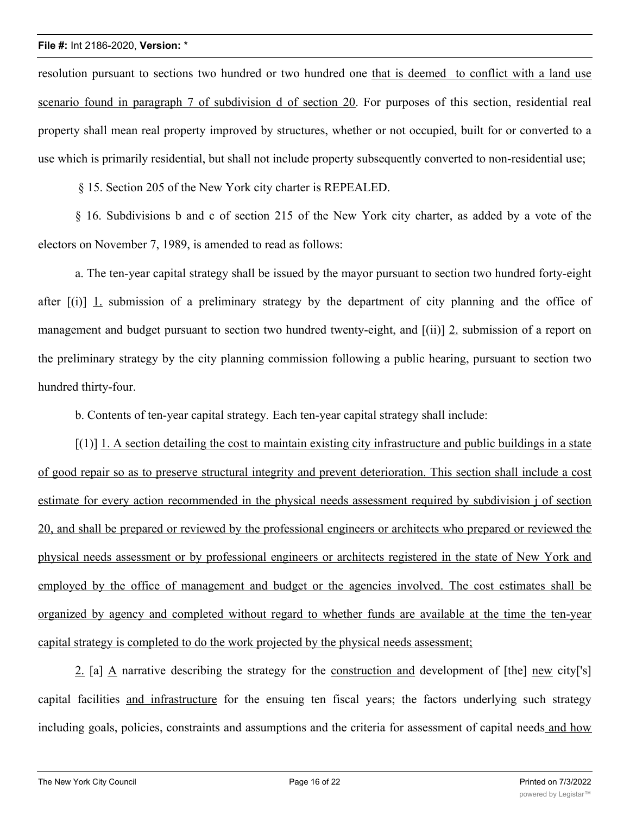resolution pursuant to sections two hundred or two hundred one that is deemed to conflict with a land use scenario found in paragraph 7 of subdivision d of section 20. For purposes of this section, residential real property shall mean real property improved by structures, whether or not occupied, built for or converted to a use which is primarily residential, but shall not include property subsequently converted to non-residential use;

§ 15. Section 205 of the New York city charter is REPEALED.

§ 16. Subdivisions b and c of section 215 of the New York city charter, as added by a vote of the electors on November 7, 1989, is amended to read as follows:

a. The ten-year capital strategy shall be issued by the mayor pursuant to section two hundred forty-eight after [(i)] 1. submission of a preliminary strategy by the department of city planning and the office of management and budget pursuant to section two hundred twenty-eight, and [(ii)] 2. submission of a report on the preliminary strategy by the city planning commission following a public hearing, pursuant to section two hundred thirty-four.

b. Contents of ten-year capital strategy*.* Each ten-year capital strategy shall include:

 $[(1)]$  1. A section detailing the cost to maintain existing city infrastructure and public buildings in a state of good repair so as to preserve structural integrity and prevent deterioration. This section shall include a cost estimate for every action recommended in the physical needs assessment required by subdivision j of section 20, and shall be prepared or reviewed by the professional engineers or architects who prepared or reviewed the physical needs assessment or by professional engineers or architects registered in the state of New York and employed by the office of management and budget or the agencies involved. The cost estimates shall be organized by agency and completed without regard to whether funds are available at the time the ten-year capital strategy is completed to do the work projected by the physical needs assessment;

2. [a] A narrative describing the strategy for the construction and development of [the] new city['s] capital facilities and infrastructure for the ensuing ten fiscal years; the factors underlying such strategy including goals, policies, constraints and assumptions and the criteria for assessment of capital needs and how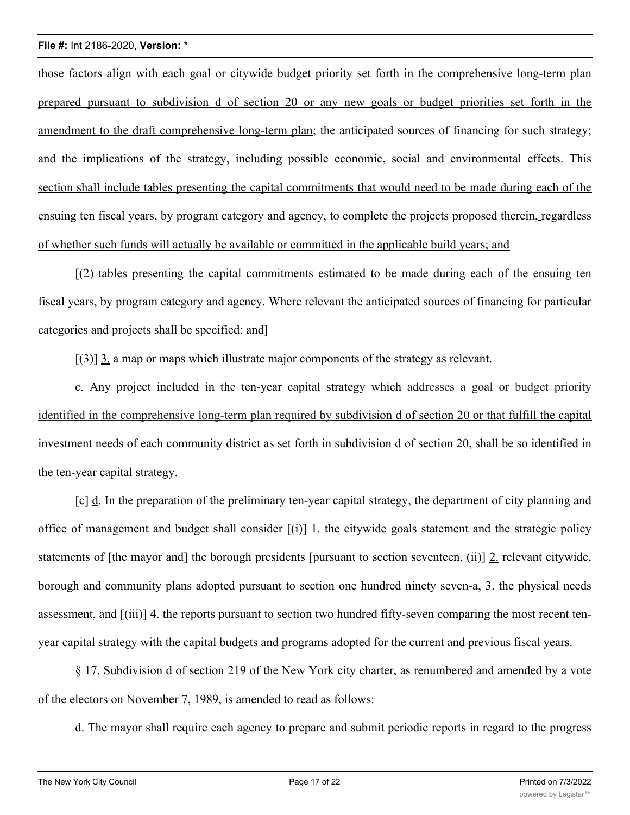those factors align with each goal or citywide budget priority set forth in the comprehensive long-term plan prepared pursuant to subdivision d of section 20 or any new goals or budget priorities set forth in the amendment to the draft comprehensive long-term plan; the anticipated sources of financing for such strategy; and the implications of the strategy, including possible economic, social and environmental effects. This section shall include tables presenting the capital commitments that would need to be made during each of the ensuing ten fiscal years, by program category and agency, to complete the projects proposed therein, regardless of whether such funds will actually be available or committed in the applicable build years; and

[(2) tables presenting the capital commitments estimated to be made during each of the ensuing ten fiscal years, by program category and agency. Where relevant the anticipated sources of financing for particular categories and projects shall be specified; and]

[(3)] 3. a map or maps which illustrate major components of the strategy as relevant.

c. Any project included in the ten-year capital strategy which addresses a goal or budget priority identified in the comprehensive long-term plan required by subdivision d of section 20 or that fulfill the capital investment needs of each community district as set forth in subdivision d of section 20, shall be so identified in the ten-year capital strategy.

[c] d. In the preparation of the preliminary ten-year capital strategy, the department of city planning and office of management and budget shall consider  $[(i)]$  1. the citywide goals statement and the strategic policy statements of [the mayor and] the borough presidents [pursuant to section seventeen, (ii)] 2. relevant citywide, borough and community plans adopted pursuant to section one hundred ninety seven-a, 3. the physical needs assessment, and [(iii)] 4. the reports pursuant to section two hundred fifty-seven comparing the most recent tenyear capital strategy with the capital budgets and programs adopted for the current and previous fiscal years.

§ 17. Subdivision d of section 219 of the New York city charter, as renumbered and amended by a vote of the electors on November 7, 1989, is amended to read as follows:

d. The mayor shall require each agency to prepare and submit periodic reports in regard to the progress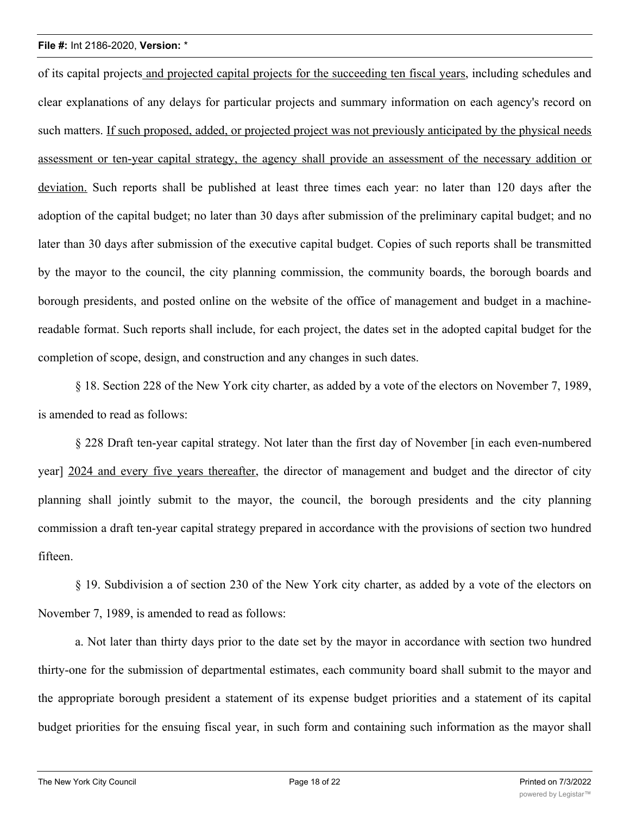of its capital projects and projected capital projects for the succeeding ten fiscal years, including schedules and clear explanations of any delays for particular projects and summary information on each agency's record on such matters. If such proposed, added, or projected project was not previously anticipated by the physical needs assessment or ten-year capital strategy, the agency shall provide an assessment of the necessary addition or deviation. Such reports shall be published at least three times each year: no later than 120 days after the adoption of the capital budget; no later than 30 days after submission of the preliminary capital budget; and no later than 30 days after submission of the executive capital budget. Copies of such reports shall be transmitted by the mayor to the council, the city planning commission, the community boards, the borough boards and borough presidents, and posted online on the website of the office of management and budget in a machinereadable format. Such reports shall include, for each project, the dates set in the adopted capital budget for the completion of scope, design, and construction and any changes in such dates.

§ 18. Section 228 of the New York city charter, as added by a vote of the electors on November 7, 1989, is amended to read as follows:

§ 228 Draft ten-year capital strategy. Not later than the first day of November [in each even-numbered year] 2024 and every five years thereafter, the director of management and budget and the director of city planning shall jointly submit to the mayor, the council, the borough presidents and the city planning commission a draft ten-year capital strategy prepared in accordance with the provisions of section two hundred fifteen.

§ 19. Subdivision a of section 230 of the New York city charter, as added by a vote of the electors on November 7, 1989, is amended to read as follows:

a. Not later than thirty days prior to the date set by the mayor in accordance with section two hundred thirty-one for the submission of departmental estimates, each community board shall submit to the mayor and the appropriate borough president a statement of its expense budget priorities and a statement of its capital budget priorities for the ensuing fiscal year, in such form and containing such information as the mayor shall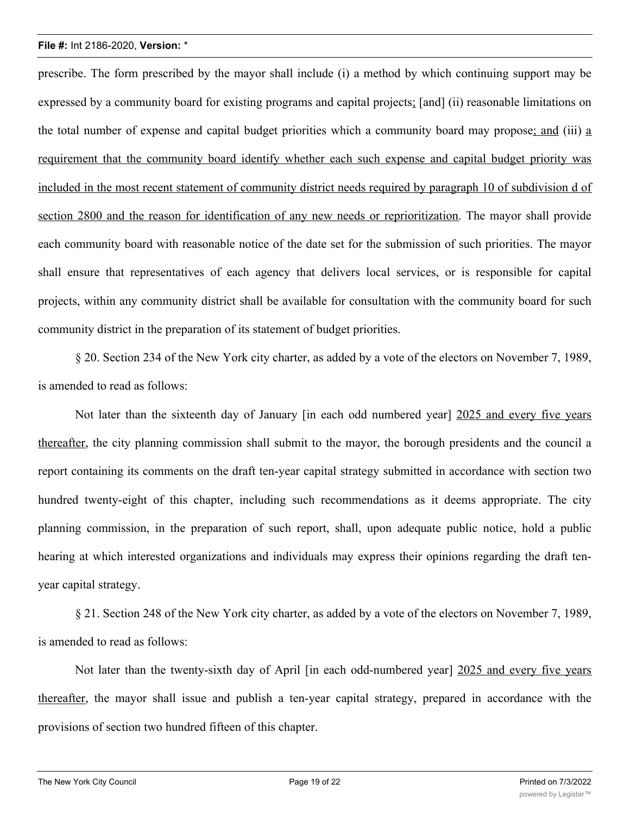prescribe. The form prescribed by the mayor shall include (i) a method by which continuing support may be expressed by a community board for existing programs and capital projects; [and] (ii) reasonable limitations on the total number of expense and capital budget priorities which a community board may propose; and (iii) a requirement that the community board identify whether each such expense and capital budget priority was included in the most recent statement of community district needs required by paragraph 10 of subdivision d of section 2800 and the reason for identification of any new needs or reprioritization. The mayor shall provide each community board with reasonable notice of the date set for the submission of such priorities. The mayor shall ensure that representatives of each agency that delivers local services, or is responsible for capital projects, within any community district shall be available for consultation with the community board for such community district in the preparation of its statement of budget priorities.

§ 20. Section 234 of the New York city charter, as added by a vote of the electors on November 7, 1989, is amended to read as follows:

Not later than the sixteenth day of January [in each odd numbered year] 2025 and every five years thereafter, the city planning commission shall submit to the mayor, the borough presidents and the council a report containing its comments on the draft ten-year capital strategy submitted in accordance with section two hundred twenty-eight of this chapter, including such recommendations as it deems appropriate. The city planning commission, in the preparation of such report, shall, upon adequate public notice, hold a public hearing at which interested organizations and individuals may express their opinions regarding the draft tenyear capital strategy.

§ 21. Section 248 of the New York city charter, as added by a vote of the electors on November 7, 1989, is amended to read as follows:

Not later than the twenty-sixth day of April [in each odd-numbered year] 2025 and every five years thereafter, the mayor shall issue and publish a ten-year capital strategy, prepared in accordance with the provisions of section two hundred fifteen of this chapter.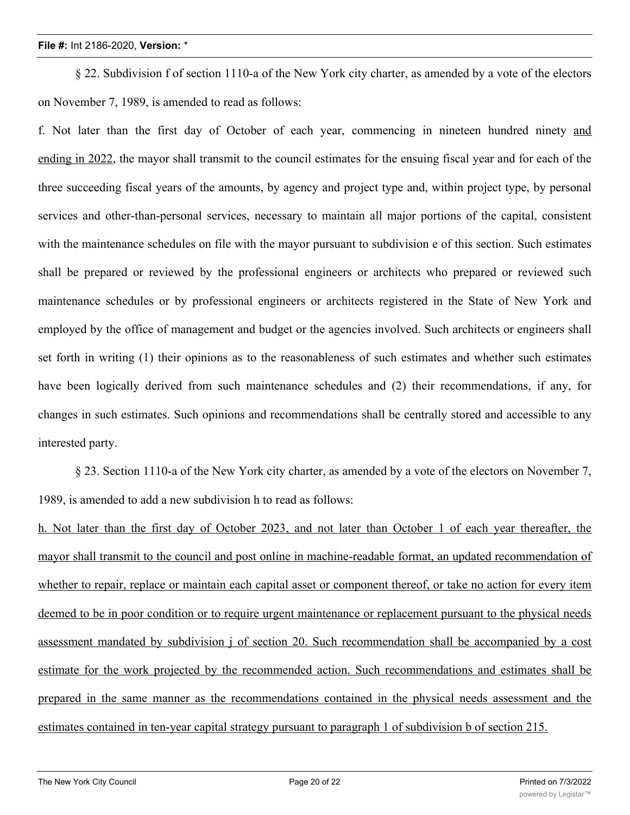§ 22. Subdivision f of section 1110-a of the New York city charter, as amended by a vote of the electors on November 7, 1989, is amended to read as follows:

f. Not later than the first day of October of each year, commencing in nineteen hundred ninety and ending in 2022, the mayor shall transmit to the council estimates for the ensuing fiscal year and for each of the three succeeding fiscal years of the amounts, by agency and project type and, within project type, by personal services and other-than-personal services, necessary to maintain all major portions of the capital, consistent with the maintenance schedules on file with the mayor pursuant to subdivision e of this section. Such estimates shall be prepared or reviewed by the professional engineers or architects who prepared or reviewed such maintenance schedules or by professional engineers or architects registered in the State of New York and employed by the office of management and budget or the agencies involved. Such architects or engineers shall set forth in writing (1) their opinions as to the reasonableness of such estimates and whether such estimates have been logically derived from such maintenance schedules and (2) their recommendations, if any, for changes in such estimates. Such opinions and recommendations shall be centrally stored and accessible to any interested party.

§ 23. Section 1110-a of the New York city charter, as amended by a vote of the electors on November 7, 1989, is amended to add a new subdivision h to read as follows:

h. Not later than the first day of October 2023, and not later than October 1 of each year thereafter, the mayor shall transmit to the council and post online in machine-readable format, an updated recommendation of whether to repair, replace or maintain each capital asset or component thereof, or take no action for every item deemed to be in poor condition or to require urgent maintenance or replacement pursuant to the physical needs assessment mandated by subdivision j of section 20. Such recommendation shall be accompanied by a cost estimate for the work projected by the recommended action. Such recommendations and estimates shall be prepared in the same manner as the recommendations contained in the physical needs assessment and the estimates contained in ten-year capital strategy pursuant to paragraph 1 of subdivision b of section 215.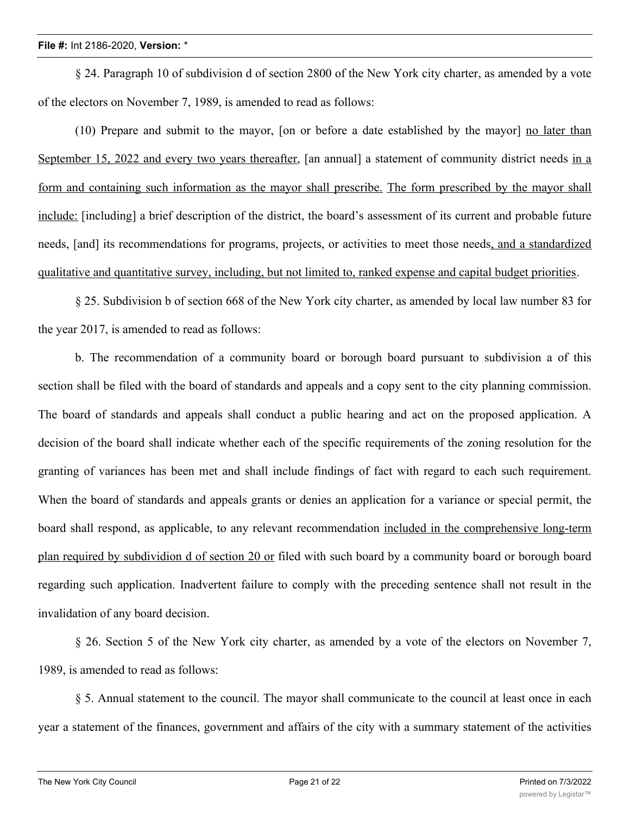§ 24. Paragraph 10 of subdivision d of section 2800 of the New York city charter, as amended by a vote of the electors on November 7, 1989, is amended to read as follows:

(10) Prepare and submit to the mayor, [on or before a date established by the mayor] no later than September 15, 2022 and every two years thereafter, [an annual] a statement of community district needs in a form and containing such information as the mayor shall prescribe. The form prescribed by the mayor shall include: [including] a brief description of the district, the board's assessment of its current and probable future needs, [and] its recommendations for programs, projects, or activities to meet those needs, and a standardized qualitative and quantitative survey, including, but not limited to, ranked expense and capital budget priorities.

§ 25. Subdivision b of section 668 of the New York city charter, as amended by local law number 83 for the year 2017, is amended to read as follows:

b. The recommendation of a community board or borough board pursuant to subdivision a of this section shall be filed with the board of standards and appeals and a copy sent to the city planning commission. The board of standards and appeals shall conduct a public hearing and act on the proposed application. A decision of the board shall indicate whether each of the specific requirements of the zoning resolution for the granting of variances has been met and shall include findings of fact with regard to each such requirement. When the board of standards and appeals grants or denies an application for a variance or special permit, the board shall respond, as applicable, to any relevant recommendation included in the comprehensive long-term plan required by subdividion d of section 20 or filed with such board by a community board or borough board regarding such application. Inadvertent failure to comply with the preceding sentence shall not result in the invalidation of any board decision.

§ 26. Section 5 of the New York city charter, as amended by a vote of the electors on November 7, 1989, is amended to read as follows:

§ 5. Annual statement to the council. The mayor shall communicate to the council at least once in each year a statement of the finances, government and affairs of the city with a summary statement of the activities